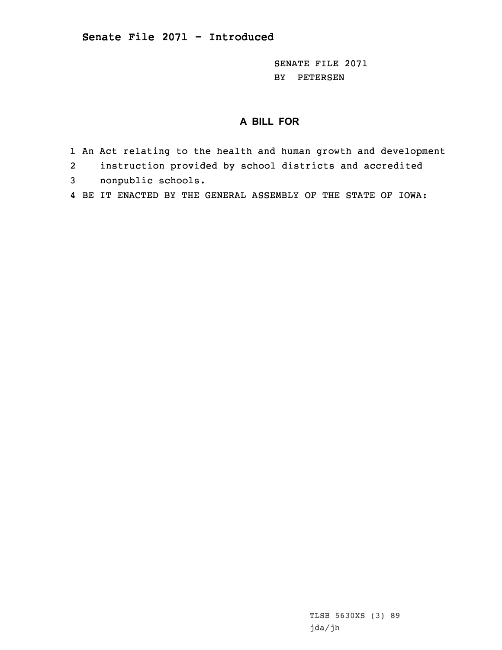SENATE FILE 2071 BY PETERSEN

## **A BILL FOR**

- 1 An Act relating to the health and human growth and development
- 2instruction provided by school districts and accredited
- 3 nonpublic schools.
- 4 BE IT ENACTED BY THE GENERAL ASSEMBLY OF THE STATE OF IOWA: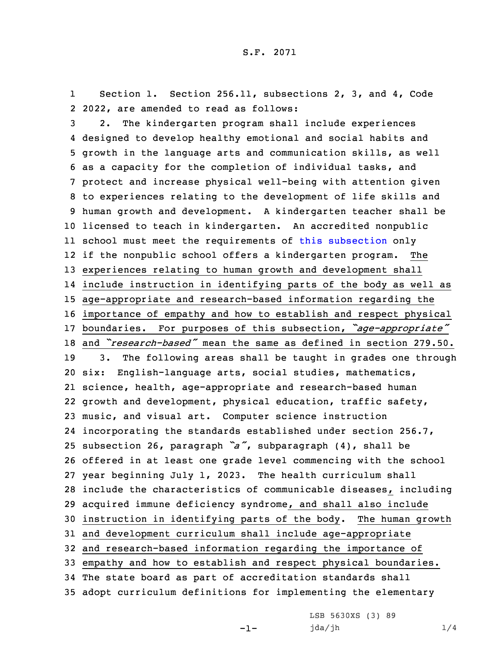1 Section 1. Section 256.11, subsections 2, 3, and 4, Code 2 2022, are amended to read as follows:

 2. The kindergarten program shall include experiences designed to develop healthy emotional and social habits and growth in the language arts and communication skills, as well as <sup>a</sup> capacity for the completion of individual tasks, and protect and increase physical well-being with attention given to experiences relating to the development of life skills and human growth and development. <sup>A</sup> kindergarten teacher shall be licensed to teach in kindergarten. An accredited nonpublic school must meet the requirements of this [subsection](https://www.legis.iowa.gov/docs/code/2022/256.11.pdf) only if the nonpublic school offers <sup>a</sup> kindergarten program. The experiences relating to human growth and development shall include instruction in identifying parts of the body as well as age-appropriate and research-based information regarding the importance of empathy and how to establish and respect physical boundaries. For purposes of this subsection, *"age-appropriate"* and *"research-based"* mean the same as defined in section 279.50. 3. The following areas shall be taught in grades one through six: English-language arts, social studies, mathematics, science, health, age-appropriate and research-based human growth and development, physical education, traffic safety, music, and visual art. Computer science instruction incorporating the standards established under section 256.7, subsection 26, paragraph *"a"*, subparagraph (4), shall be offered in at least one grade level commencing with the school year beginning July 1, 2023. The health curriculum shall include the characteristics of communicable diseases, including acquired immune deficiency syndrome, and shall also include instruction in identifying parts of the body. The human growth and development curriculum shall include age-appropriate and research-based information regarding the importance of empathy and how to establish and respect physical boundaries. The state board as part of accreditation standards shall adopt curriculum definitions for implementing the elementary

-1-

LSB 5630XS (3) 89 jda/jh 1/4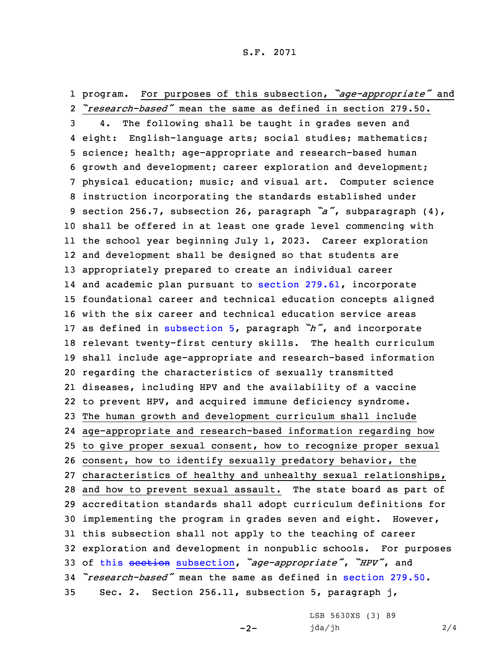1 program. For purposes of this subsection, *"age-appropriate"* and 2 *"research-based"* mean the same as defined in section 279.50.

 4. The following shall be taught in grades seven and eight: English-language arts; social studies; mathematics; science; health; age-appropriate and research-based human growth and development; career exploration and development; physical education; music; and visual art. Computer science instruction incorporating the standards established under section 256.7, subsection 26, paragraph *"a"*, subparagraph (4), shall be offered in at least one grade level commencing with the school year beginning July 1, 2023. Career exploration and development shall be designed so that students are appropriately prepared to create an individual career and academic plan pursuant to section [279.61](https://www.legis.iowa.gov/docs/code/2022/279.61.pdf), incorporate foundational career and technical education concepts aligned with the six career and technical education service areas as defined in [subsection](https://www.legis.iowa.gov/docs/code/2022/256.11.pdf) 5, paragraph *"h"*, and incorporate relevant twenty-first century skills. The health curriculum shall include age-appropriate and research-based information regarding the characteristics of sexually transmitted diseases, including HPV and the availability of <sup>a</sup> vaccine to prevent HPV, and acquired immune deficiency syndrome. The human growth and development curriculum shall include age-appropriate and research-based information regarding how to give proper sexual consent, how to recognize proper sexual consent, how to identify sexually predatory behavior, the characteristics of healthy and unhealthy sexual relationships, and how to prevent sexual assault. The state board as part of accreditation standards shall adopt curriculum definitions for implementing the program in grades seven and eight. However, this subsection shall not apply to the teaching of career exploration and development in nonpublic schools. For purposes of this section [subsection](https://www.legis.iowa.gov/docs/code/2022/256.11.pdf), *"age-appropriate"*, *"HPV"*, and *"research-based"* mean the same as defined in [section](https://www.legis.iowa.gov/docs/code/2022/279.50.pdf) 279.50. Sec. 2. Section 256.11, subsection 5, paragraph j,

 $-2-$ 

LSB 5630XS (3) 89 jda/jh 2/4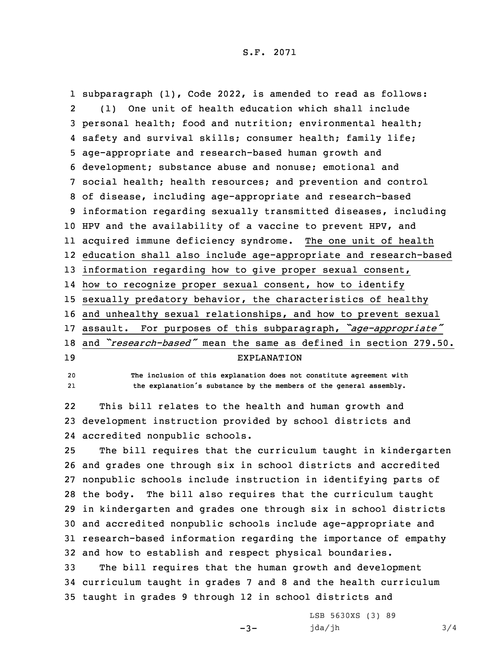subparagraph (1), Code 2022, is amended to read as follows: 2 (1) One unit of health education which shall include personal health; food and nutrition; environmental health; safety and survival skills; consumer health; family life; age-appropriate and research-based human growth and development; substance abuse and nonuse; emotional and social health; health resources; and prevention and control of disease, including age-appropriate and research-based information regarding sexually transmitted diseases, including HPV and the availability of <sup>a</sup> vaccine to prevent HPV, and acquired immune deficiency syndrome. The one unit of health education shall also include age-appropriate and research-based information regarding how to give proper sexual consent, how to recognize proper sexual consent, how to identify sexually predatory behavior, the characteristics of healthy and unhealthy sexual relationships, and how to prevent sexual assault. For purposes of this subparagraph, *"age-appropriate"* and *"research-based"* mean the same as defined in section 279.50. EXPLANATION

20 **The inclusion of this explanation does not constitute agreement with** 21**the explanation's substance by the members of the general assembly.**

22 This bill relates to the health and human growth and 23 development instruction provided by school districts and 24 accredited nonpublic schools.

 The bill requires that the curriculum taught in kindergarten and grades one through six in school districts and accredited nonpublic schools include instruction in identifying parts of the body. The bill also requires that the curriculum taught in kindergarten and grades one through six in school districts and accredited nonpublic schools include age-appropriate and research-based information regarding the importance of empathy and how to establish and respect physical boundaries.

33 The bill requires that the human growth and development 34 curriculum taught in grades 7 and 8 and the health curriculum 35 taught in grades 9 through 12 in school districts and

 $-3-$ 

LSB 5630XS (3) 89 jda/jh 3/4